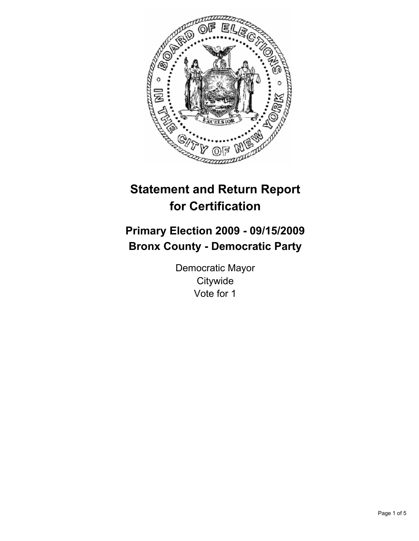

# **Statement and Return Report for Certification**

# **Primary Election 2009 - 09/15/2009 Bronx County - Democratic Party**

Democratic Mayor **Citywide** Vote for 1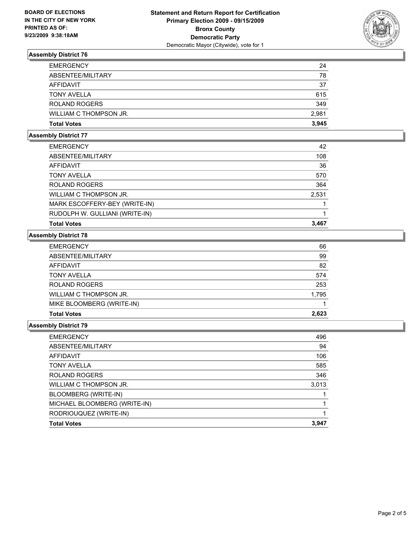

# **Assembly District 76**

| <b>EMERGENCY</b>       | 24    |
|------------------------|-------|
| ABSENTEE/MILITARY      | 78    |
| AFFIDAVIT              | 37    |
| <b>TONY AVELLA</b>     | 615   |
| ROLAND ROGERS          | 349   |
| WILLIAM C THOMPSON JR. | 2,981 |
| <b>Total Votes</b>     | 3.945 |

### **Assembly District 77**

| <b>EMERGENCY</b>               | 42    |
|--------------------------------|-------|
| ABSENTEE/MILITARY              | 108   |
| AFFIDAVIT                      | 36    |
| <b>TONY AVELLA</b>             | 570   |
| <b>ROLAND ROGERS</b>           | 364   |
| WILLIAM C THOMPSON JR.         | 2,531 |
| MARK ESCOFFERY-BEY (WRITE-IN)  |       |
| RUDOLPH W. GULLIANI (WRITE-IN) |       |
| <b>Total Votes</b>             | 3.467 |

## **Assembly District 78**

| <b>EMERGENCY</b>          | 66    |
|---------------------------|-------|
| ABSENTEE/MILITARY         | 99    |
| AFFIDAVIT                 | 82    |
| <b>TONY AVELLA</b>        | 574   |
| <b>ROLAND ROGERS</b>      | 253   |
| WILLIAM C THOMPSON JR.    | 1,795 |
| MIKE BLOOMBERG (WRITE-IN) |       |
| <b>Total Votes</b>        | 2.623 |

### **Assembly District 79**

| <b>EMERGENCY</b>             | 496   |
|------------------------------|-------|
| ABSENTEE/MILITARY            | 94    |
| AFFIDAVIT                    | 106   |
| <b>TONY AVELLA</b>           | 585   |
| <b>ROLAND ROGERS</b>         | 346   |
| WILLIAM C THOMPSON JR.       | 3,013 |
| BLOOMBERG (WRITE-IN)         |       |
| MICHAEL BLOOMBERG (WRITE-IN) |       |
| RODRIOUQUEZ (WRITE-IN)       |       |
| <b>Total Votes</b>           | 3.947 |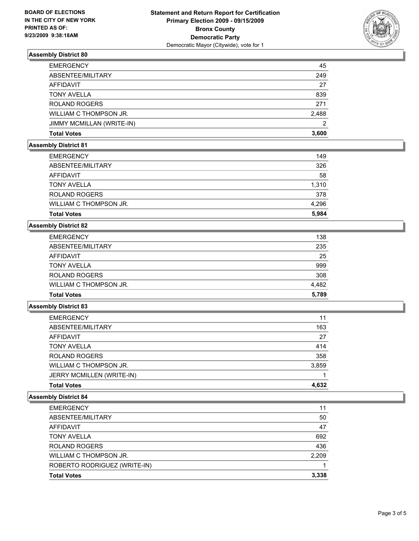

# **Assembly District 80**

| <b>EMERGENCY</b>          | 45    |
|---------------------------|-------|
| ABSENTEE/MILITARY         | 249   |
| AFFIDAVIT                 | 27    |
| <b>TONY AVELLA</b>        | 839   |
| <b>ROLAND ROGERS</b>      | 271   |
| WILLIAM C THOMPSON JR.    | 2,488 |
| JIMMY MCMILLAN (WRITE-IN) | 2     |
| <b>Total Votes</b>        | 3.600 |

## **Assembly District 81**

| <b>EMERGENCY</b>       | 149   |
|------------------------|-------|
| ABSENTEE/MILITARY      | 326   |
| AFFIDAVIT              | 58    |
| <b>TONY AVELLA</b>     | 1,310 |
| <b>ROLAND ROGERS</b>   | 378   |
| WILLIAM C THOMPSON JR. | 4.296 |
| <b>Total Votes</b>     | 5.984 |
|                        |       |

### **Assembly District 82**

| <b>Total Votes</b>     | 5.789 |
|------------------------|-------|
| WILLIAM C THOMPSON JR. | 4.482 |
| <b>ROLAND ROGERS</b>   | 308   |
| <b>TONY AVELLA</b>     | 999   |
| AFFIDAVIT              | 25    |
| ABSENTEE/MILITARY      | 235   |
| <b>EMERGENCY</b>       | 138   |

### **Assembly District 83**

| <b>EMERGENCY</b>          | 11    |
|---------------------------|-------|
| ABSENTEE/MILITARY         | 163   |
| AFFIDAVIT                 | 27    |
| <b>TONY AVELLA</b>        | 414   |
| <b>ROLAND ROGERS</b>      | 358   |
| WILLIAM C THOMPSON JR.    | 3,859 |
| JERRY MCMILLEN (WRITE-IN) |       |
| <b>Total Votes</b>        | 4.632 |

## **Assembly District 84**

| <b>EMERGENCY</b>             | 11    |
|------------------------------|-------|
| ABSENTEE/MILITARY            | 50    |
| AFFIDAVIT                    | 47    |
| <b>TONY AVELLA</b>           | 692   |
| <b>ROLAND ROGERS</b>         | 436   |
| WILLIAM C THOMPSON JR.       | 2.209 |
| ROBERTO RODRIGUEZ (WRITE-IN) |       |
| <b>Total Votes</b>           | 3.338 |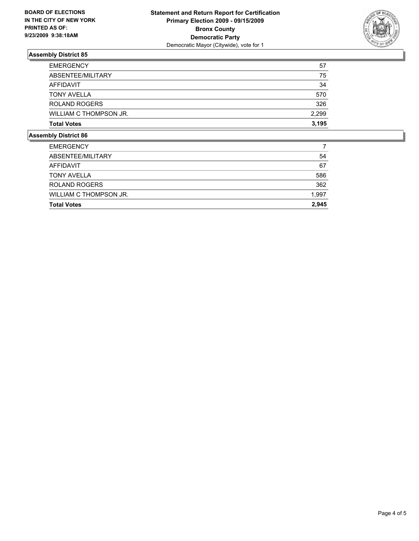

# **Assembly District 85**

| <b>Total Votes</b>     | 3.195 |
|------------------------|-------|
| WILLIAM C THOMPSON JR. | 2,299 |
| <b>ROLAND ROGERS</b>   | 326   |
| <b>TONY AVELLA</b>     | 570   |
| AFFIDAVIT              | 34    |
| ABSENTEE/MILITARY      | 75    |
| <b>EMERGENCY</b>       | 57    |

## **Assembly District 86**

| <b>EMERGENCY</b>       |       |
|------------------------|-------|
| ABSENTEE/MILITARY      | 54    |
| AFFIDAVIT              | 67    |
| <b>TONY AVELLA</b>     | 586   |
| <b>ROLAND ROGERS</b>   | 362   |
| WILLIAM C THOMPSON JR. | 1,997 |
| <b>Total Votes</b>     | 2.945 |